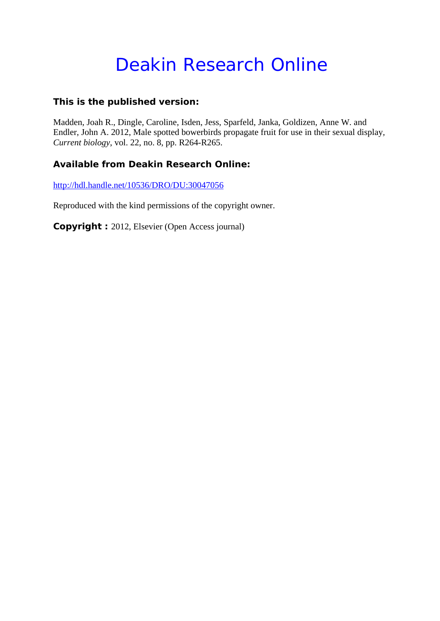# Deakin Research Online

### **This is the published version:**

Madden, Joah R., Dingle, Caroline, Isden, Jess, Sparfeld, Janka, Goldizen, Anne W. and Endler, John A. 2012, Male spotted bowerbirds propagate fruit for use in their sexual display*, Current biology*, vol. 22, no. 8, pp. R264-R265.

## **Available from Deakin Research Online:**

http://hdl.handle.net/10536/DRO/DU:30047056

Reproduced with the kind permissions of the copyright owner.

**Copyright :** 2012, Elsevier (Open Access journal)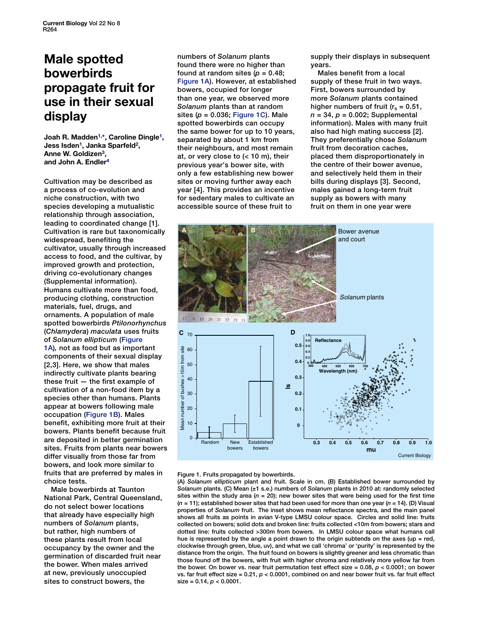# <span id="page-1-0"></span>**Male spotted bowerbirds propagate fruit for use in their sexual display**

**Joah R. Madde[n1,](#page-2-0) [\\*,](#page-2-0) Caroline Dingl[e1,](#page-2-0) Jess Isden1, Janka Sparfel[d2,](#page-2-0) Anne W. Goldize[n3,](#page-2-0) and John A. Endler[4](#page-2-0)**

Cultivation may be described as a process of co-evolution and niche construction, with two species developing a mutualistic relationship through association, leading to coordinated change [1]. Cultivation is rare but taxonomically widespread, benefiting the cultivator, usually through increased access to food, and the cultivar, by improved growth and protection, driving co-evolutionary changes (Supplemental information). Humans cultivate more than food, producing clothing, construction materials, fuel, drugs, and ornaments. A population of male spotted bowerbirds *Ptilonorhynchus*  (*Chlamydera*) *maculata* uses fruits of *Solanum ellipticum* (Figure 1A)*,* not as food but as important components of their sexual display [2,3]. Here, we show that males indirectly cultivate plants bearing these fruit — the first example of cultivation of a non-food item by a species other than humans. Plants appear at bowers following male occupation (Figure 1B). Males benefit, exhibiting more fruit at their bowers. Plants benefit because fruit are deposited in better germination sites. Fruits from plants near bowers differ visually from those far from bowers, and look more similar to fruits that are preferred by males in choice tests.

Male bowerbirds at Taunton National Park, Central Queensland, do not select bower locations that already have especially high numbers of *Solanum* plants, but rather, high numbers of these plants result from local occupancy by the owner and the germination of discarded fruit near the bower. When males arrived at new, previously unoccupied sites to construct bowers, the

numbers of *Solanum* plants found there were no higher than found at random sites  $(p = 0.48;$ Figure 1A). However, at established bowers, occupied for longer than one year, we observed more *Solanum* plants than at random sites (*p* = 0.036; Figure 1C). Male spotted bowerbirds can occupy the same bower for up to 10 years, separated by about 1 km from their neighbours, and most remain at, or very close to (< 10 m), their previous year's bower site, with only a few establishing new bower sites or moving further away each year [4]. This provides an incentive for sedentary males to cultivate an accessible source of these fruit to

supply their displays in subsequent years.

Males benefit from a local supply of these fruit in two ways. First, bowers surrounded by more *Solanum* plants contained higher numbers of fruit ( $r_s = 0.51$ , *n* = 34, *p* = 0.002; Supplemental information). Males with many fruit also had high mating success [2]. They preferentially chose *Solanum* fruit from decoration caches, placed them disproportionately in the centre of their bower avenue, and selectively held them in their bills during displays [3]. Second, males gained a long-term fruit supply as bowers with many fruit on them in one year were





(A) *Solanum ellipticum* plant and fruit. Scale in cm. (B) Established bower surrounded by *Solanum* plants. (C) Mean (±1 s.e.) numbers of *Solanum* plants in 2010 at: randomly selected sites within the study area  $(n = 20)$ ; new bower sites that were being used for the first time (*n* = 11); established bower sites that had been used for more than one year (*n* = 14). (D) Visual properties of *Solanum* fruit. The inset shows mean reflectance spectra, and the main panel shows all fruits as points in avian V-type LMSU colour space. Circles and solid line: fruits collected on bowers; solid dots and broken line: fruits collected <10m from bowers; stars and dotted line: fruits collected >300m from bowers. In LMSU colour space what humans call hue is represented by the angle a point drawn to the origin subtends on the axes (up  $=$  red, clockwise through green, blue, uv), and what we call 'chroma' or 'purity' is represented by the distance from the origin. The fruit found on bowers is slightly greener and less chromatic than those found off the bowers, with fruit with higher chroma and relatively more yellow far from the bower. On bower vs. near fruit permutation test effect size  $= 0.08$ ,  $p < 0.0001$ ; on bower vs. far fruit effect size =  $0.21$ ,  $p < 0.0001$ , combined on and near bower fruit vs. far fruit effect size = 0.14, *p* < 0.0001.